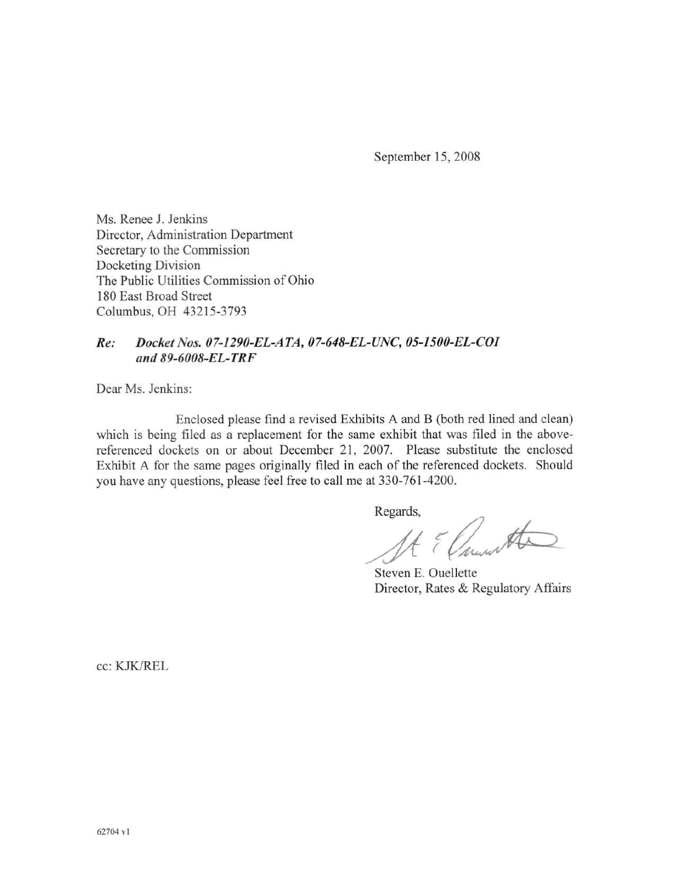September 15, 2008

Ms. Renee J. Jenkins Director, Administration Department Secretary to the Commission Docketing Division The Public Utilities Commission of Ohio 180 East Broad Street Columbus, OH 43215-3793

#### Docket Nos. 07-1290-EL-ATA, 07-648-EL-UNC, 05-1500-EL-COI Re: and 89-6008-EL-TRF

Dear Ms. Jenkins:

Enclosed please find a revised Exhibits A and B (both red lined and clean) which is being filed as a replacement for the same exhibit that was filed in the abovereferenced dockets on or about December 21, 2007. Please substitute the enclosed Exhibit A for the same pages originally filed in each of the referenced dockets. Should you have any questions, please feel free to call me at 330-761-4200.

Regards,

Elmonta

Steven E. Ouellette Director, Rates & Regulatory Affairs

cc: KJK/REL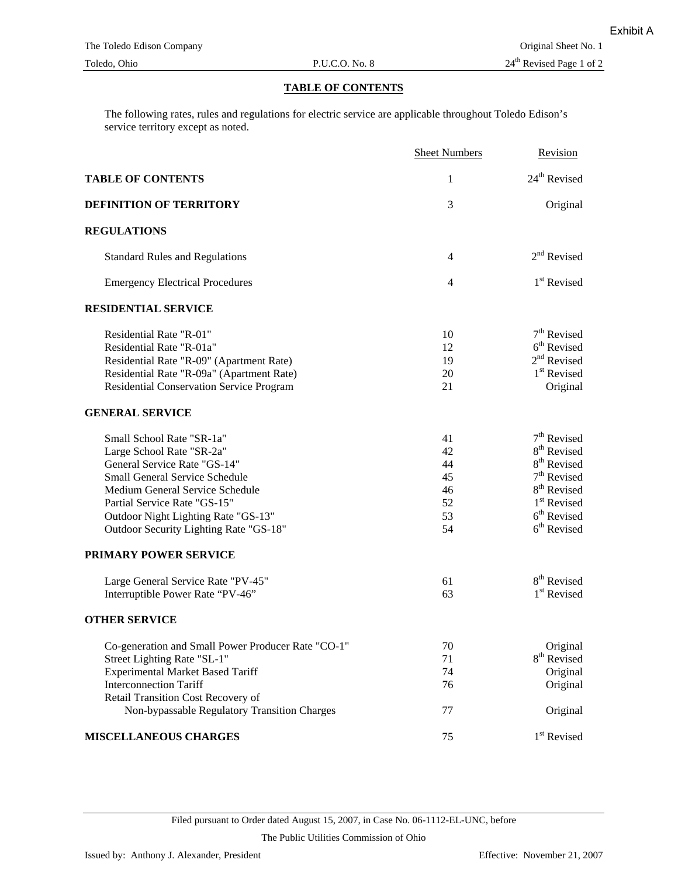## **TABLE OF CONTENTS**

The following rates, rules and regulations for electric service are applicable throughout Toledo Edison's service territory except as noted.

|                                                    | <b>Sheet Numbers</b> | Revision                 |
|----------------------------------------------------|----------------------|--------------------------|
| <b>TABLE OF CONTENTS</b>                           | 1                    | 24 <sup>th</sup> Revised |
| DEFINITION OF TERRITORY                            | 3                    | Original                 |
| <b>REGULATIONS</b>                                 |                      |                          |
| <b>Standard Rules and Regulations</b>              | $\overline{4}$       | $2nd$ Revised            |
| <b>Emergency Electrical Procedures</b>             | $\overline{4}$       | 1 <sup>st</sup> Revised  |
| <b>RESIDENTIAL SERVICE</b>                         |                      |                          |
| Residential Rate "R-01"                            | 10                   | $7th$ Revised            |
| Residential Rate "R-01a"                           | 12                   | 6 <sup>th</sup> Revised  |
| Residential Rate "R-09" (Apartment Rate)           | 19                   | $2nd$ Revised            |
| Residential Rate "R-09a" (Apartment Rate)          | 20                   | 1 <sup>st</sup> Revised  |
| Residential Conservation Service Program           | 21                   | Original                 |
| <b>GENERAL SERVICE</b>                             |                      |                          |
| Small School Rate "SR-1a"                          | 41                   | $7th$ Revised            |
| Large School Rate "SR-2a"                          | 42                   | 8 <sup>th</sup> Revised  |
| General Service Rate "GS-14"                       | 44                   | 8 <sup>th</sup> Revised  |
| <b>Small General Service Schedule</b>              | 45                   | $7th$ Revised            |
| Medium General Service Schedule                    | 46                   | 8 <sup>th</sup> Revised  |
| Partial Service Rate "GS-15"                       | 52                   | 1 <sup>st</sup> Revised  |
| Outdoor Night Lighting Rate "GS-13"                | 53                   | $6th$ Revised            |
| Outdoor Security Lighting Rate "GS-18"             | 54                   | 6 <sup>th</sup> Revised  |
| PRIMARY POWER SERVICE                              |                      |                          |
| Large General Service Rate "PV-45"                 | 61                   | 8 <sup>th</sup> Revised  |
| Interruptible Power Rate "PV-46"                   | 63                   | 1 <sup>st</sup> Revised  |
| <b>OTHER SERVICE</b>                               |                      |                          |
| Co-generation and Small Power Producer Rate "CO-1" | 70                   | Original                 |
| Street Lighting Rate "SL-1"                        | 71                   | 8 <sup>th</sup> Revised  |
| <b>Experimental Market Based Tariff</b>            | 74                   | Original                 |
| <b>Interconnection Tariff</b>                      | 76                   | Original                 |
| Retail Transition Cost Recovery of                 |                      |                          |
| Non-bypassable Regulatory Transition Charges       | 77                   | Original                 |
| <b>MISCELLANEOUS CHARGES</b>                       | 75                   | 1 <sup>st</sup> Revised  |

Filed pursuant to Order dated August 15, 2007, in Case No. 06-1112-EL-UNC, before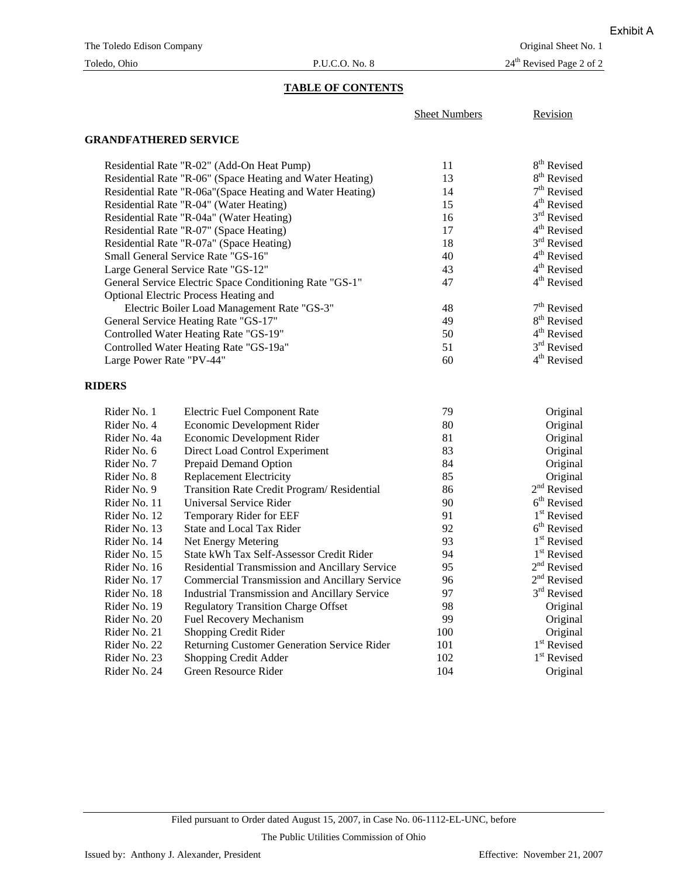## Toledo, Ohio P.U.C.O. No. 8 24<sup>th</sup> Revised Page 2 of 2

## **TABLE OF CONTENTS**

| <b>Sheet Numbers</b> | Revision |
|----------------------|----------|
|                      |          |

## **GRANDFATHERED SERVICE**

| Residential Rate "R-02" (Add-On Heat Pump)                 | 11 | 8 <sup>th</sup> Revised |
|------------------------------------------------------------|----|-------------------------|
| Residential Rate "R-06" (Space Heating and Water Heating)  | 13 | 8 <sup>th</sup> Revised |
| Residential Rate "R-06a" (Space Heating and Water Heating) | 14 | $7th$ Revised           |
| Residential Rate "R-04" (Water Heating)                    | 15 | $4th$ Revised           |
| Residential Rate "R-04a" (Water Heating)                   | 16 | $3rd$ Revised           |
| Residential Rate "R-07" (Space Heating)                    | 17 | $4th$ Revised           |
| Residential Rate "R-07a" (Space Heating)                   | 18 | $3rd$ Revised           |
| Small General Service Rate "GS-16"                         | 40 | $4th$ Revised           |
| Large General Service Rate "GS-12"                         | 43 | 4 <sup>th</sup> Revised |
| General Service Electric Space Conditioning Rate "GS-1"    | 47 | $4th$ Revised           |
| Optional Electric Process Heating and                      |    |                         |
| Electric Boiler Load Management Rate "GS-3"                | 48 | $7th$ Revised           |
| General Service Heating Rate "GS-17"                       | 49 | 8 <sup>th</sup> Revised |
| Controlled Water Heating Rate "GS-19"                      | 50 | $4th$ Revised           |
| Controlled Water Heating Rate "GS-19a"                     | 51 | $3rd$ Revised           |
| Large Power Rate "PV-44"                                   | 60 | 4 <sup>th</sup> Revised |

### **RIDERS**

| Rider No. 1  | <b>Electric Fuel Component Rate</b>                   | 79  | Original                |
|--------------|-------------------------------------------------------|-----|-------------------------|
| Rider No. 4  | Economic Development Rider                            | 80  | Original                |
| Rider No. 4a | Economic Development Rider                            | 81  | Original                |
| Rider No. 6  | Direct Load Control Experiment                        | 83  | Original                |
| Rider No. 7  | Prepaid Demand Option                                 | 84  | Original                |
| Rider No. 8  | <b>Replacement Electricity</b>                        | 85  | Original                |
| Rider No. 9  | Transition Rate Credit Program/ Residential           | 86  | $2nd$ Revised           |
| Rider No. 11 | Universal Service Rider                               | 90  | 6 <sup>th</sup> Revised |
| Rider No. 12 | Temporary Rider for EEF                               | 91  | 1 <sup>st</sup> Revised |
| Rider No. 13 | State and Local Tax Rider                             | 92  | 6 <sup>th</sup> Revised |
| Rider No. 14 | Net Energy Metering                                   | 93  | 1 <sup>st</sup> Revised |
| Rider No. 15 | State kWh Tax Self-Assessor Credit Rider              | 94  | 1 <sup>st</sup> Revised |
| Rider No. 16 | <b>Residential Transmission and Ancillary Service</b> | 95  | $2nd$ Revised           |
| Rider No. 17 | Commercial Transmission and Ancillary Service         | 96  | $2nd$ Revised           |
| Rider No. 18 | <b>Industrial Transmission and Ancillary Service</b>  | 97  | 3 <sup>rd</sup> Revised |
| Rider No. 19 | <b>Regulatory Transition Charge Offset</b>            | 98  | Original                |
| Rider No. 20 | <b>Fuel Recovery Mechanism</b>                        | 99  | Original                |
| Rider No. 21 | Shopping Credit Rider                                 | 100 | Original                |
| Rider No. 22 | <b>Returning Customer Generation Service Rider</b>    | 101 | 1 <sup>st</sup> Revised |
| Rider No. 23 | Shopping Credit Adder                                 | 102 | 1 <sup>st</sup> Revised |
| Rider No. 24 | Green Resource Rider                                  | 104 | Original                |

The Public Utilities Commission of Ohio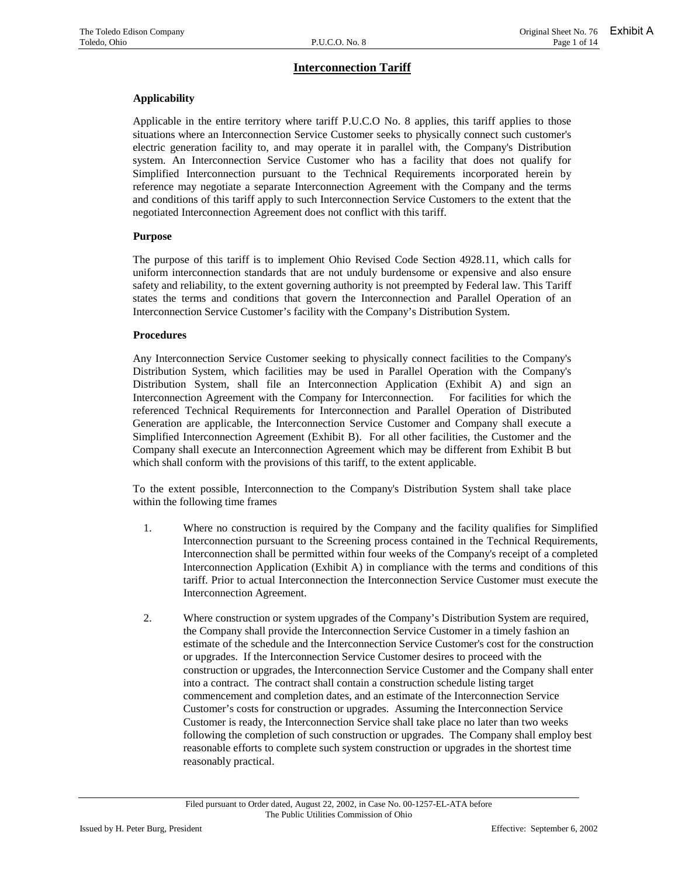### **Applicability**

Applicable in the entire territory where tariff P.U.C.O No. 8 applies, this tariff applies to those situations where an Interconnection Service Customer seeks to physically connect such customer's electric generation facility to, and may operate it in parallel with, the Company's Distribution system. An Interconnection Service Customer who has a facility that does not qualify for Simplified Interconnection pursuant to the Technical Requirements incorporated herein by reference may negotiate a separate Interconnection Agreement with the Company and the terms and conditions of this tariff apply to such Interconnection Service Customers to the extent that the negotiated Interconnection Agreement does not conflict with this tariff.

#### **Purpose**

The purpose of this tariff is to implement Ohio Revised Code Section 4928.11, which calls for uniform interconnection standards that are not unduly burdensome or expensive and also ensure safety and reliability, to the extent governing authority is not preempted by Federal law. This Tariff states the terms and conditions that govern the Interconnection and Parallel Operation of an Interconnection Service Customer's facility with the Company's Distribution System.

### **Procedures**

Any Interconnection Service Customer seeking to physically connect facilities to the Company's Distribution System, which facilities may be used in Parallel Operation with the Company's Distribution System, shall file an Interconnection Application (Exhibit A) and sign an Interconnection Agreement with the Company for Interconnection. For facilities for which the referenced Technical Requirements for Interconnection and Parallel Operation of Distributed Generation are applicable, the Interconnection Service Customer and Company shall execute a Simplified Interconnection Agreement (Exhibit B). For all other facilities, the Customer and the Company shall execute an Interconnection Agreement which may be different from Exhibit B but which shall conform with the provisions of this tariff, to the extent applicable.

To the extent possible, Interconnection to the Company's Distribution System shall take place within the following time frames

- 1. Where no construction is required by the Company and the facility qualifies for Simplified Interconnection pursuant to the Screening process contained in the Technical Requirements, Interconnection shall be permitted within four weeks of the Company's receipt of a completed Interconnection Application (Exhibit A) in compliance with the terms and conditions of this tariff. Prior to actual Interconnection the Interconnection Service Customer must execute the Interconnection Agreement.
- 2. Where construction or system upgrades of the Company's Distribution System are required, the Company shall provide the Interconnection Service Customer in a timely fashion an estimate of the schedule and the Interconnection Service Customer's cost for the construction or upgrades. If the Interconnection Service Customer desires to proceed with the construction or upgrades, the Interconnection Service Customer and the Company shall enter into a contract. The contract shall contain a construction schedule listing target commencement and completion dates, and an estimate of the Interconnection Service Customer's costs for construction or upgrades. Assuming the Interconnection Service Customer is ready, the Interconnection Service shall take place no later than two weeks following the completion of such construction or upgrades. The Company shall employ best reasonable efforts to complete such system construction or upgrades in the shortest time reasonably practical.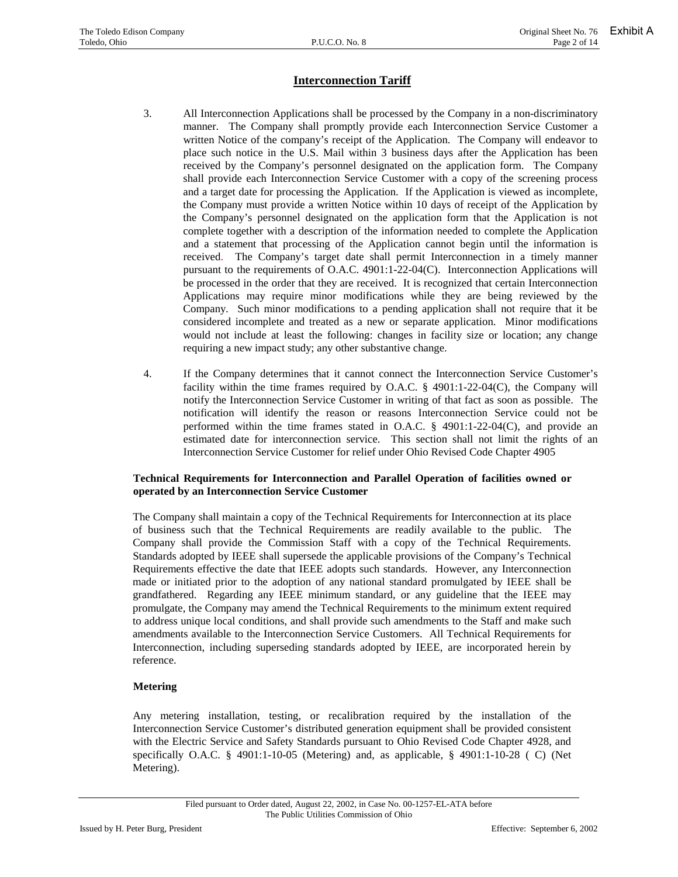- 3. All Interconnection Applications shall be processed by the Company in a non-discriminatory manner. The Company shall promptly provide each Interconnection Service Customer a written Notice of the company's receipt of the Application. The Company will endeavor to place such notice in the U.S. Mail within 3 business days after the Application has been received by the Company's personnel designated on the application form. The Company shall provide each Interconnection Service Customer with a copy of the screening process and a target date for processing the Application. If the Application is viewed as incomplete, the Company must provide a written Notice within 10 days of receipt of the Application by the Company's personnel designated on the application form that the Application is not complete together with a description of the information needed to complete the Application and a statement that processing of the Application cannot begin until the information is received. The Company's target date shall permit Interconnection in a timely manner pursuant to the requirements of O.A.C. 4901:1-22-04(C). Interconnection Applications will be processed in the order that they are received. It is recognized that certain Interconnection Applications may require minor modifications while they are being reviewed by the Company. Such minor modifications to a pending application shall not require that it be considered incomplete and treated as a new or separate application. Minor modifications would not include at least the following: changes in facility size or location; any change requiring a new impact study; any other substantive change.
- 4. If the Company determines that it cannot connect the Interconnection Service Customer's facility within the time frames required by O.A.C. § 4901:1-22-04(C), the Company will notify the Interconnection Service Customer in writing of that fact as soon as possible. The notification will identify the reason or reasons Interconnection Service could not be performed within the time frames stated in O.A.C. § 4901:1-22-04(C), and provide an estimated date for interconnection service. This section shall not limit the rights of an Interconnection Service Customer for relief under Ohio Revised Code Chapter 4905

### **Technical Requirements for Interconnection and Parallel Operation of facilities owned or operated by an Interconnection Service Customer**

The Company shall maintain a copy of the Technical Requirements for Interconnection at its place of business such that the Technical Requirements are readily available to the public. The Company shall provide the Commission Staff with a copy of the Technical Requirements. Standards adopted by IEEE shall supersede the applicable provisions of the Company's Technical Requirements effective the date that IEEE adopts such standards. However, any Interconnection made or initiated prior to the adoption of any national standard promulgated by IEEE shall be grandfathered. Regarding any IEEE minimum standard, or any guideline that the IEEE may promulgate, the Company may amend the Technical Requirements to the minimum extent required to address unique local conditions, and shall provide such amendments to the Staff and make such amendments available to the Interconnection Service Customers. All Technical Requirements for Interconnection, including superseding standards adopted by IEEE, are incorporated herein by reference.

### **Metering**

Any metering installation, testing, or recalibration required by the installation of the Interconnection Service Customer's distributed generation equipment shall be provided consistent with the Electric Service and Safety Standards pursuant to Ohio Revised Code Chapter 4928, and specifically O.A.C. § 4901:1-10-05 (Metering) and, as applicable, § 4901:1-10-28 ( C) (Net Metering).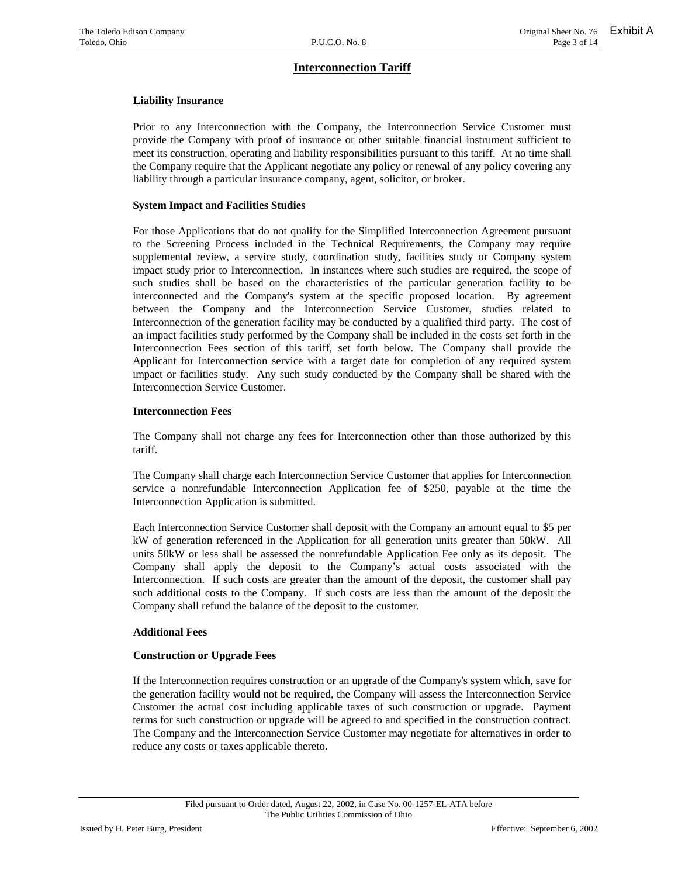### **Liability Insurance**

Prior to any Interconnection with the Company, the Interconnection Service Customer must provide the Company with proof of insurance or other suitable financial instrument sufficient to meet its construction, operating and liability responsibilities pursuant to this tariff. At no time shall the Company require that the Applicant negotiate any policy or renewal of any policy covering any liability through a particular insurance company, agent, solicitor, or broker.

#### **System Impact and Facilities Studies**

For those Applications that do not qualify for the Simplified Interconnection Agreement pursuant to the Screening Process included in the Technical Requirements, the Company may require supplemental review, a service study, coordination study, facilities study or Company system impact study prior to Interconnection. In instances where such studies are required, the scope of such studies shall be based on the characteristics of the particular generation facility to be interconnected and the Company's system at the specific proposed location. By agreement between the Company and the Interconnection Service Customer, studies related to Interconnection of the generation facility may be conducted by a qualified third party. The cost of an impact facilities study performed by the Company shall be included in the costs set forth in the Interconnection Fees section of this tariff, set forth below. The Company shall provide the Applicant for Interconnection service with a target date for completion of any required system impact or facilities study. Any such study conducted by the Company shall be shared with the Interconnection Service Customer.

### **Interconnection Fees**

The Company shall not charge any fees for Interconnection other than those authorized by this tariff.

The Company shall charge each Interconnection Service Customer that applies for Interconnection service a nonrefundable Interconnection Application fee of \$250, payable at the time the Interconnection Application is submitted.

Each Interconnection Service Customer shall deposit with the Company an amount equal to \$5 per kW of generation referenced in the Application for all generation units greater than 50kW. All units 50kW or less shall be assessed the nonrefundable Application Fee only as its deposit. The Company shall apply the deposit to the Company's actual costs associated with the Interconnection. If such costs are greater than the amount of the deposit, the customer shall pay such additional costs to the Company. If such costs are less than the amount of the deposit the Company shall refund the balance of the deposit to the customer.

### **Additional Fees**

### **Construction or Upgrade Fees**

If the Interconnection requires construction or an upgrade of the Company's system which, save for the generation facility would not be required, the Company will assess the Interconnection Service Customer the actual cost including applicable taxes of such construction or upgrade. Payment terms for such construction or upgrade will be agreed to and specified in the construction contract. The Company and the Interconnection Service Customer may negotiate for alternatives in order to reduce any costs or taxes applicable thereto.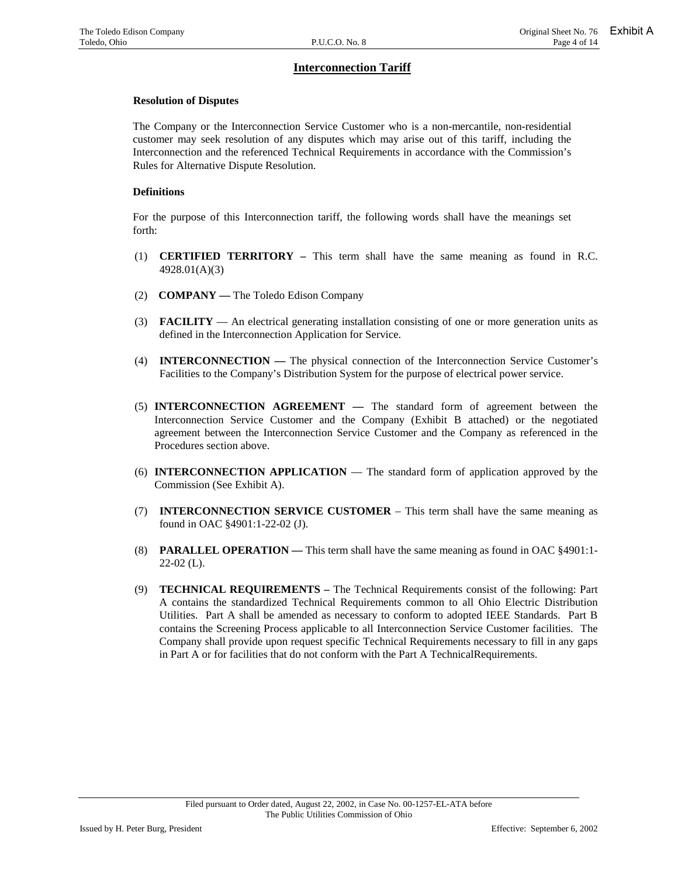#### **Resolution of Disputes**

The Company or the Interconnection Service Customer who is a non-mercantile, non-residential customer may seek resolution of any disputes which may arise out of this tariff, including the Interconnection and the referenced Technical Requirements in accordance with the Commission's Rules for Alternative Dispute Resolution.

#### **Definitions**

For the purpose of this Interconnection tariff, the following words shall have the meanings set forth:

- (1) **CERTIFIED TERRITORY** This term shall have the same meaning as found in R.C. 4928.01(A)(3)
- (2) **COMPANY** The Toledo Edison Company
- (3) **FACILITY**  An electrical generating installation consisting of one or more generation units as defined in the Interconnection Application for Service.
- (4) **INTERCONNECTION** The physical connection of the Interconnection Service Customer's Facilities to the Company's Distribution System for the purpose of electrical power service.
- (5) **INTERCONNECTION AGREEMENT** The standard form of agreement between the Interconnection Service Customer and the Company (Exhibit B attached) or the negotiated agreement between the Interconnection Service Customer and the Company as referenced in the Procedures section above.
- (6) **INTERCONNECTION APPLICATION**  The standard form of application approved by the Commission (See Exhibit A).
- (7) **INTERCONNECTION SERVICE CUSTOMER** This term shall have the same meaning as found in OAC §4901:1-22-02 (J).
- (8) **PARALLEL OPERATION** This term shall have the same meaning as found in OAC §4901:1-  $22-02$  (L).
- (9) **TECHNICAL REQUIREMENTS** The Technical Requirements consist of the following: Part A contains the standardized Technical Requirements common to all Ohio Electric Distribution Utilities. Part A shall be amended as necessary to conform to adopted IEEE Standards. Part B contains the Screening Process applicable to all Interconnection Service Customer facilities. The Company shall provide upon request specific Technical Requirements necessary to fill in any gaps in Part A or for facilities that do not conform with the Part A TechnicalRequirements.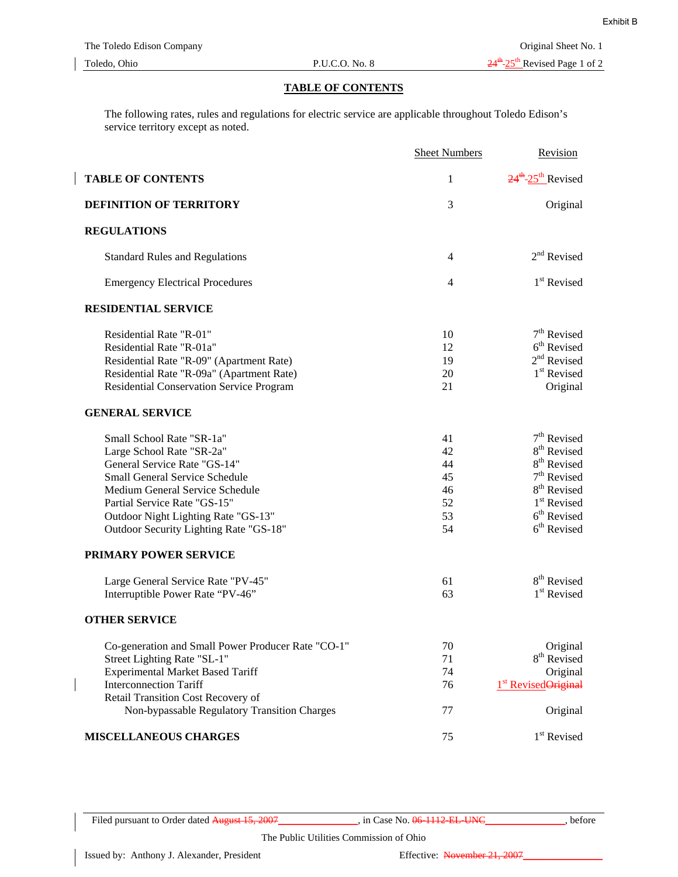#### **TABLE OF CONTENTS**

The following rates, rules and regulations for electric service are applicable throughout Toledo Edison's service territory except as noted.

|                                                    | <b>Sheet Numbers</b> | Revision                                    |
|----------------------------------------------------|----------------------|---------------------------------------------|
| <b>TABLE OF CONTENTS</b>                           | 1                    | $24^{\text{th}}$ -25 <sup>th</sup> Revised  |
| DEFINITION OF TERRITORY                            | 3                    | Original                                    |
| <b>REGULATIONS</b>                                 |                      |                                             |
| <b>Standard Rules and Regulations</b>              | 4                    | $2nd$ Revised                               |
| <b>Emergency Electrical Procedures</b>             | $\overline{4}$       | 1 <sup>st</sup> Revised                     |
| <b>RESIDENTIAL SERVICE</b>                         |                      |                                             |
| Residential Rate "R-01"                            | 10                   | $7th$ Revised                               |
| Residential Rate "R-01a"                           | 12                   | $6th$ Revised                               |
| Residential Rate "R-09" (Apartment Rate)           | 19                   | $2nd$ Revised                               |
| Residential Rate "R-09a" (Apartment Rate)          | 20                   | $1st$ Revised                               |
| Residential Conservation Service Program           | 21                   | Original                                    |
| <b>GENERAL SERVICE</b>                             |                      |                                             |
| Small School Rate "SR-1a"                          | 41                   | $7th$ Revised                               |
| Large School Rate "SR-2a"                          | 42                   | 8 <sup>th</sup> Revised                     |
| General Service Rate "GS-14"                       | 44                   | 8 <sup>th</sup> Revised                     |
| <b>Small General Service Schedule</b>              | 45                   | 7 <sup>th</sup> Revised                     |
| Medium General Service Schedule                    | 46                   | 8 <sup>th</sup> Revised                     |
| Partial Service Rate "GS-15"                       | 52                   | 1 <sup>st</sup> Revised                     |
| Outdoor Night Lighting Rate "GS-13"                | 53                   | $6th$ Revised                               |
| Outdoor Security Lighting Rate "GS-18"             | 54                   | $6th$ Revised                               |
| PRIMARY POWER SERVICE                              |                      |                                             |
| Large General Service Rate "PV-45"                 | 61                   | 8 <sup>th</sup> Revised                     |
| Interruptible Power Rate "PV-46"                   | 63                   | 1 <sup>st</sup> Revised                     |
| <b>OTHER SERVICE</b>                               |                      |                                             |
| Co-generation and Small Power Producer Rate "CO-1" | 70                   | Original                                    |
| Street Lighting Rate "SL-1"                        | 71                   | 8 <sup>th</sup> Revised                     |
| <b>Experimental Market Based Tariff</b>            | 74                   | Original                                    |
| <b>Interconnection Tariff</b>                      | 76                   | 1 <sup>st</sup> Revised <del>Original</del> |
| Retail Transition Cost Recovery of                 |                      |                                             |
| Non-bypassable Regulatory Transition Charges       | 77                   | Original                                    |
| MISCELLANEOUS CHARGES                              | 75                   | 1 <sup>st</sup> Revised                     |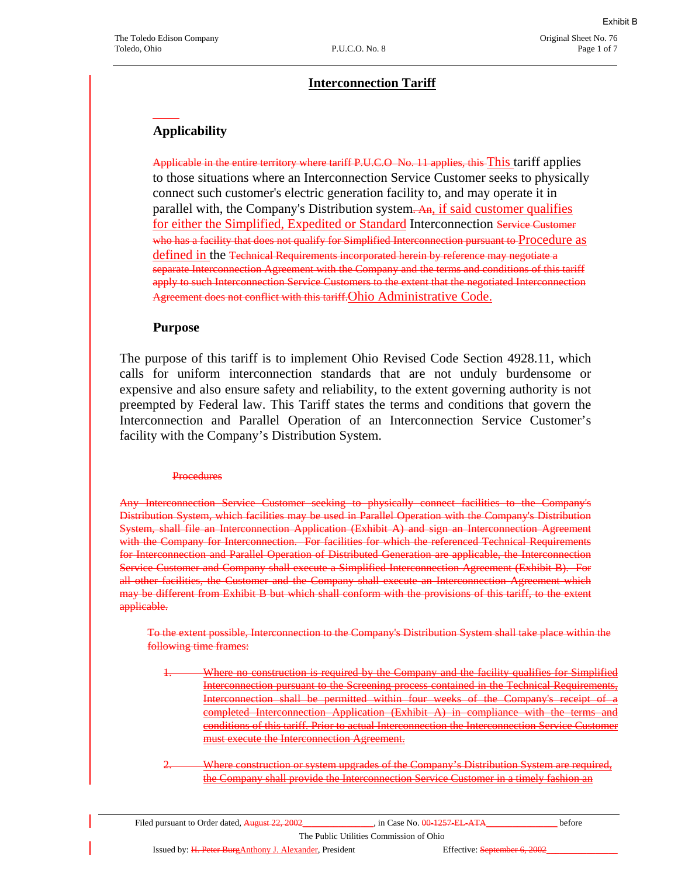## **Interconnection Tariff**

## **Applicability**

Applicable in the entire territory where tariff P.U.C.O No. 11 applies, this This tariff applies to those situations where an Interconnection Service Customer seeks to physically connect such customer's electric generation facility to, and may operate it in parallel with, the Company's Distribution system. An, if said customer qualifies for either the Simplified, Expedited or Standard Interconnection Service Customer who has a facility that does not qualify for Simplified Interconnection pursuant to Procedure as defined in the Technical Requirements incorporated herein by reference may negotiate a separate Interconnection Agreement with the Company and the terms and conditions of this tariff apply to such Interconnection Service Customers to the extent that the negotiated Interconnection Agreement does not conflict with this tariff. Ohio Administrative Code.

## **Purpose**

The purpose of this tariff is to implement Ohio Revised Code Section 4928.11, which calls for uniform interconnection standards that are not unduly burdensome or expensive and also ensure safety and reliability, to the extent governing authority is not preempted by Federal law. This Tariff states the terms and conditions that govern the Interconnection and Parallel Operation of an Interconnection Service Customer's facility with the Company's Distribution System.

### **Procedures**

Any Interconnection Service Customer seeking to physically connect facilities to the Company's Distribution System, which facilities may be used in Parallel Operation with the Company's Distribution System, shall file an Interconnection Application (Exhibit A) and sign an Interconnection Agreement with the Company for Interconnection. For facilities for which the referenced Technical Requirements for Interconnection and Parallel Operation of Distributed Generation are applicable, the Interconnection Service Customer and Company shall execute a Simplified Interconnection Agreement (Exhibit B). For all other facilities, the Customer and the Company shall execute an Interconnection Agreement which may be different from Exhibit B but which shall conform with the provisions of this tariff, to the extent applicable.

To the extent possible, Interconnection to the Company's Distribution System shall take place within the following time frames:

- Where no construction is required by the Company and the facility qualifies for Simplified Interconnection pursuant to the Screening process contained in the Technical Requirements, Interconnection shall be permitted within four weeks of the Company's receipt  $completed Interconnection$  Application (Exhibit A) in compliance with the terms conditions of this tariff. Prior to actual Interconnection th must execute the Interconnection Agreement.
- 2. Where construction or system upgrades of the Company's Distribution System are required, the Company shall provide the Interconnection Service Customer in a timely fashion an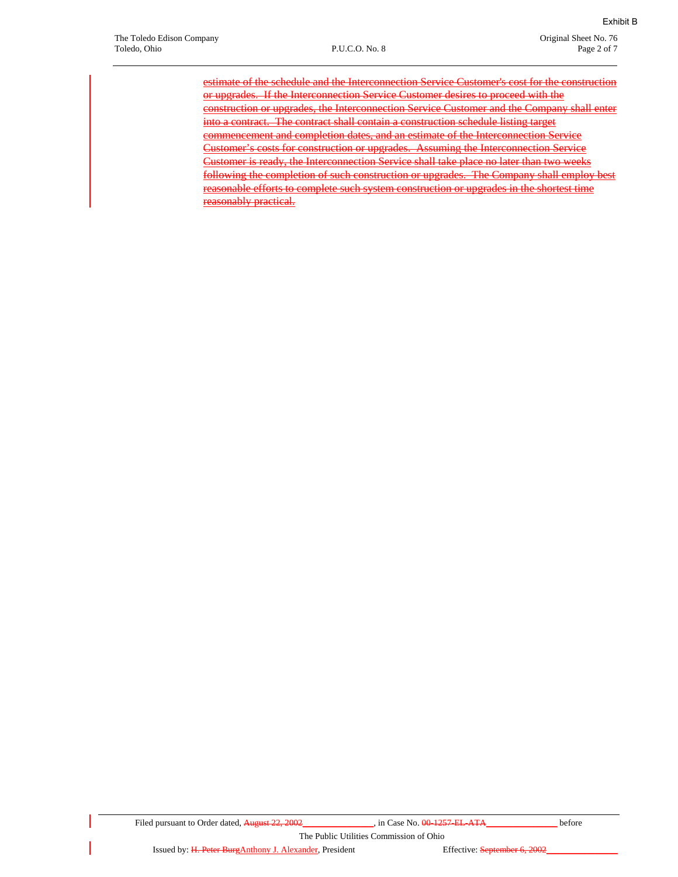estimate of the schedule and the Interconnection Service Customer's cost for the construction or upgrades. If the Interconnection Service Customer desires to proceed with the construction or upgrades, the Interconnection Service Customer and the Company shall enter into a contract. The contract shall contain a construction schedule listing target commencement and completion dates, and an estimate of the Interconnection Service Customer's costs for construction or upgrades. Assuming the Interconnection Service Customer is ready, the Interconnection Service shall take place no later than two weeks following the completion of such construction or upgrades. The Company shall employ best reasonable efforts to complete such system construction or upgrades in the shortest time reasonably practical.

The Public Utilities Commission of Ohio

Issued by: H. Peter BurgAnthony J. Alexander, President Effective: September 6, 2002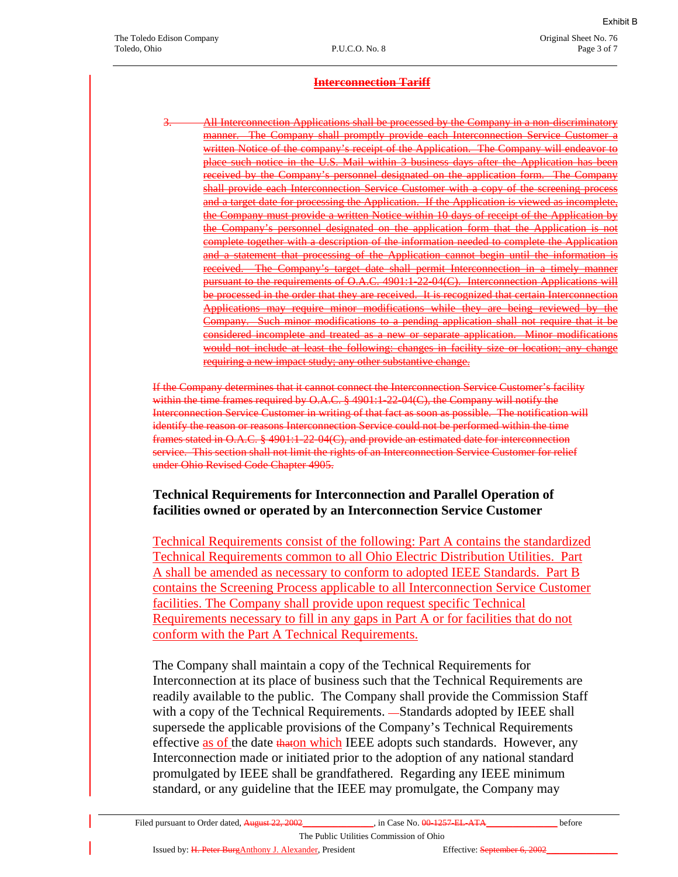All Interconnection Applications shall be processed by the Company in a non-discriminatory The Company shall promptly provide each Interconnection Service Customer a written Notice of the company's receipt of the Application. The Company will endeavor to place such notice in the U.S. Mail within 3 business days after the Application has been received by the Company's personnel designated on the application form. The Comp shall provide each Interconnection Service Customer with a copy of the screening and a target date for processing the Application. If the Application is viewed as incomplete, the Company must provide a written Notice within 10 days of receipt of the Application by the Company's personnel designated on the application form that the Application complete together with a description of the information needed to complete the Application and a statement that processing of the Application cannot begin until the information is received. The Company's target date shall permit Interconnection in a timely manner uant to the requirements of  $O.A.C.$  4901:1-22-04(C). Interconnection Applications be processed in the order that they are received. It is recognized that certain Interconnection Applications may require minor modifications while they are being reviewed by Company. Such minor modifications to a pending application shall not require that it be considered incomplete and treated as a new or separate application. Minor modifications would not include at least the following: changes in facility size or location; any change requiring a new impact study; any other substantive change.

If the Company determines that it cannot connect the Interconnection Service Customer's facility within the time frames required by  $O.A.C.$   $\S 4901:1-22-04(C)$ , the Company will notify the Interconnection Service Customer in writing of that fact as soon as possible. The notification will identify the reason or reasons Interconnection Service could not be performed within the time frames stated in O.A.C. § 4901:1-22-04(C), and provide an estimated date for interconnection service. This section shall not limit the rights of an Interconnection Service Customer for relief under Ohio Revised Code Chapter 4905.

## **Technical Requirements for Interconnection and Parallel Operation of facilities owned or operated by an Interconnection Service Customer**

Technical Requirements consist of the following: Part A contains the standardized Technical Requirements common to all Ohio Electric Distribution Utilities. Part A shall be amended as necessary to conform to adopted IEEE Standards. Part B contains the Screening Process applicable to all Interconnection Service Customer facilities. The Company shall provide upon request specific Technical Requirements necessary to fill in any gaps in Part A or for facilities that do not conform with the Part A Technical Requirements.

The Company shall maintain a copy of the Technical Requirements for Interconnection at its place of business such that the Technical Requirements are readily available to the public. The Company shall provide the Commission Staff with a copy of the Technical Requirements. -Standards adopted by IEEE shall supersede the applicable provisions of the Company's Technical Requirements effective as of the date that on which IEEE adopts such standards. However, any Interconnection made or initiated prior to the adoption of any national standard promulgated by IEEE shall be grandfathered. Regarding any IEEE minimum standard, or any guideline that the IEEE may promulgate, the Company may

Filed pursuant to Order dated, August 22, 2002\_\_\_\_\_\_\_\_\_\_\_, in Case No. 00-1257-EL-ATA\_\_\_\_\_\_\_\_\_\_\_\_\_\_\_\_\_ before The Public Utilities Commission of Ohio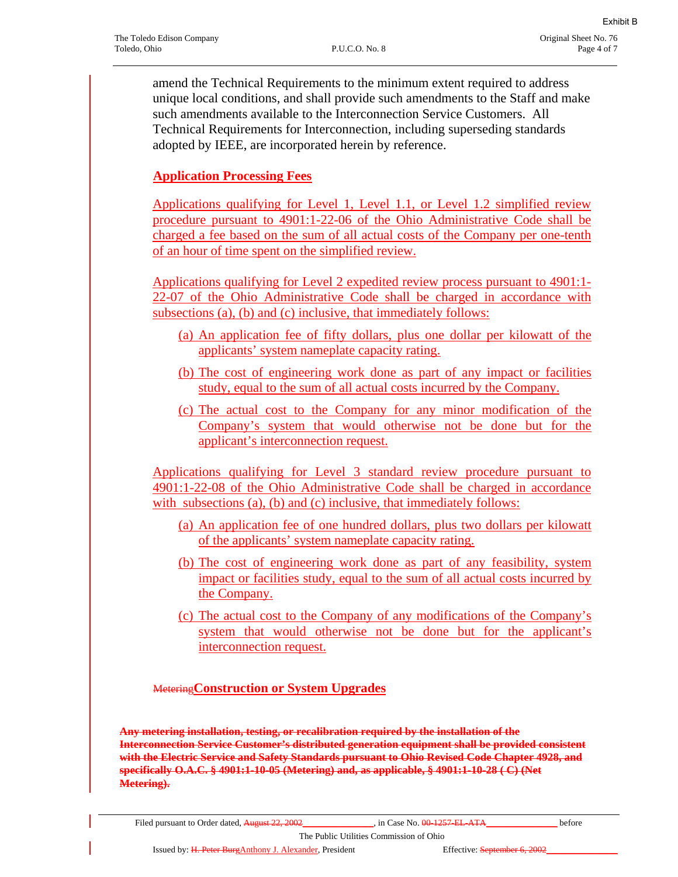amend the Technical Requirements to the minimum extent required to address unique local conditions, and shall provide such amendments to the Staff and make such amendments available to the Interconnection Service Customers. All Technical Requirements for Interconnection, including superseding standards adopted by IEEE, are incorporated herein by reference.

## **Application Processing Fees**

Applications qualifying for Level 1, Level 1.1, or Level 1.2 simplified review procedure pursuant to 4901:1-22-06 of the Ohio Administrative Code shall be charged a fee based on the sum of all actual costs of the Company per one-tenth of an hour of time spent on the simplified review.

Applications qualifying for Level 2 expedited review process pursuant to 4901:1- 22-07 of the Ohio Administrative Code shall be charged in accordance with subsections (a), (b) and (c) inclusive, that immediately follows:

- (a) An application fee of fifty dollars, plus one dollar per kilowatt of the applicants' system nameplate capacity rating.
- (b) The cost of engineering work done as part of any impact or facilities study, equal to the sum of all actual costs incurred by the Company.
- (c) The actual cost to the Company for any minor modification of the Company's system that would otherwise not be done but for the applicant's interconnection request.

Applications qualifying for Level 3 standard review procedure pursuant to 4901:1-22-08 of the Ohio Administrative Code shall be charged in accordance with subsections (a), (b) and (c) inclusive, that immediately follows:

- (a) An application fee of one hundred dollars, plus two dollars per kilowatt of the applicants' system nameplate capacity rating.
- (b) The cost of engineering work done as part of any feasibility, system impact or facilities study, equal to the sum of all actual costs incurred by the Company.
- (c) The actual cost to the Company of any modifications of the Company's system that would otherwise not be done but for the applicant's interconnection request.

## Metering**Construction or System Upgrades**

**Any metering installation, testing, or recalibration required by the installation of the Interconnection Service Customer's distributed generation equipment shall be provided consistent with the Electric Service and Safety Standards pursuant to Ohio Revised Code Chapter 4928, and specifically O.A.C. § 4901:1-10-05 (Metering) and, as applicable, § 4901:1-10-28 ( C) (Net Metering).**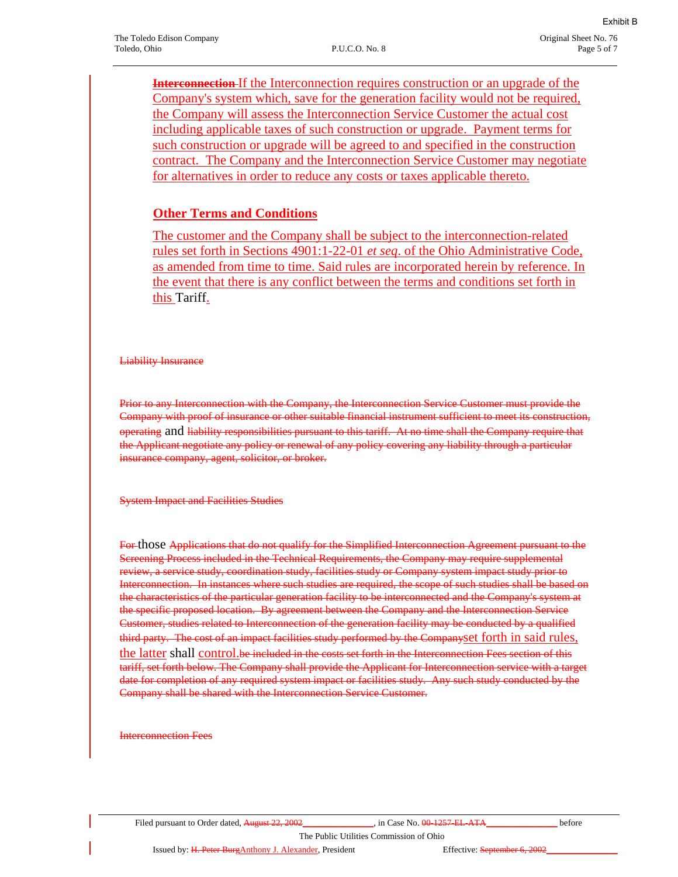**Interconnection** If the Interconnection requires construction or an upgrade of the Company's system which, save for the generation facility would not be required, the Company will assess the Interconnection Service Customer the actual cost including applicable taxes of such construction or upgrade. Payment terms for such construction or upgrade will be agreed to and specified in the construction contract. The Company and the Interconnection Service Customer may negotiate for alternatives in order to reduce any costs or taxes applicable thereto.

## **Other Terms and Conditions**

The customer and the Company shall be subject to the interconnection-related rules set forth in Sections 4901:1-22-01 *et seq*. of the Ohio Administrative Code, as amended from time to time. Said rules are incorporated herein by reference. In the event that there is any conflict between the terms and conditions set forth in this Tariff.

Liability Insurance

Prior to any Interconnection with the Company, the Interconnection Service Customer must provide the Company with proof of insurance or other suitable financial instrument sufficient to meet its construction, operating and liability responsibilities pursuant to this tariff. At no time shall the Company require that the Applicant negotiate any policy or renewal of any policy covering any liability through a particular insurance company, agent, solicitor, or broker.

System Impact and Facilities Studies

For those Applications that do not qualify for the Simplified Interconnection Agreement pursuant to the Screening Process included in the Technical Requirements, the Company may require supplemental review, a service study, coordination study, facilities study or Company system impact study prior to Interconnection. In instances where such studies are required, the scope of such studies shall be based on the characteristics of the particular generation facility to be interconnected and the Company's system at the specific proposed location. By agreement between the Company and the Interconnection Service Customer, studies related to Interconnection of the generation facility may be conducted by a qualified third party. The cost of an impact facilities study performed by the Companyset forth in said rules, the latter shall control.be included in the costs set forth in the Interconnection Fees section of this tariff, set forth below. The Company shall provide the Applicant for Interconnection service with a target date for completion of any required system impact or facilities study. Any such study conducted by the Company shall be shared with the Interconnection Service Customer.

Interconnection Fees

Issued by: H. Peter BurgAnthony J. Alexander, President Effective: September 6, 2002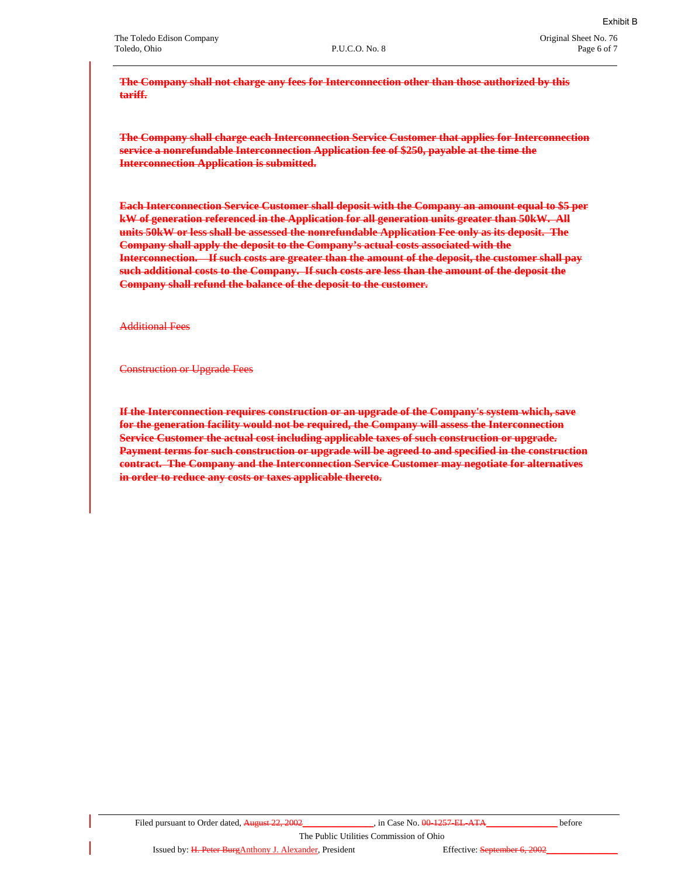**The Company shall not charge any fees for Interconnection other than those authorized by this tariff.**

**The Company shall charge each Interconnection Service Customer that applies for Interconnection service a nonrefundable Interconnection Application fee of \$250, payable at the time the Interconnection Application is submitted.**

**Each Interconnection Service Customer shall deposit with the Company an amount equal to \$5 per kW of generation referenced in the Application for all generation units greater than 50kW. All units 50kW or less shall be assessed the nonrefundable Application Fee only as its deposit. The Company shall apply the deposit to the Company's actual costs associated with the Interconnection. If such costs are greater than the amount of the deposit, the customer shall pay such additional costs to the Company. If such costs are less than the amount of the deposit the Company shall refund the balance of the deposit to the customer.**

Additional Fees

Construction or Upgrade Fees

**If the Interconnection requires construction or an upgrade of the Company's system which, save for the generation facility would not be required, the Company will assess the Interconnection Service Customer the actual cost including applicable taxes of such construction or upgrade. Payment terms for such construction or upgrade will be agreed to and specified in the construction contract. The Company and the Interconnection Service Customer may negotiate for alternatives in order to reduce any costs or taxes applicable thereto.**

The Public Utilities Commission of Ohio

Issued by: H. Peter BurgAnthony J. Alexander, President Effective: September 6, 2002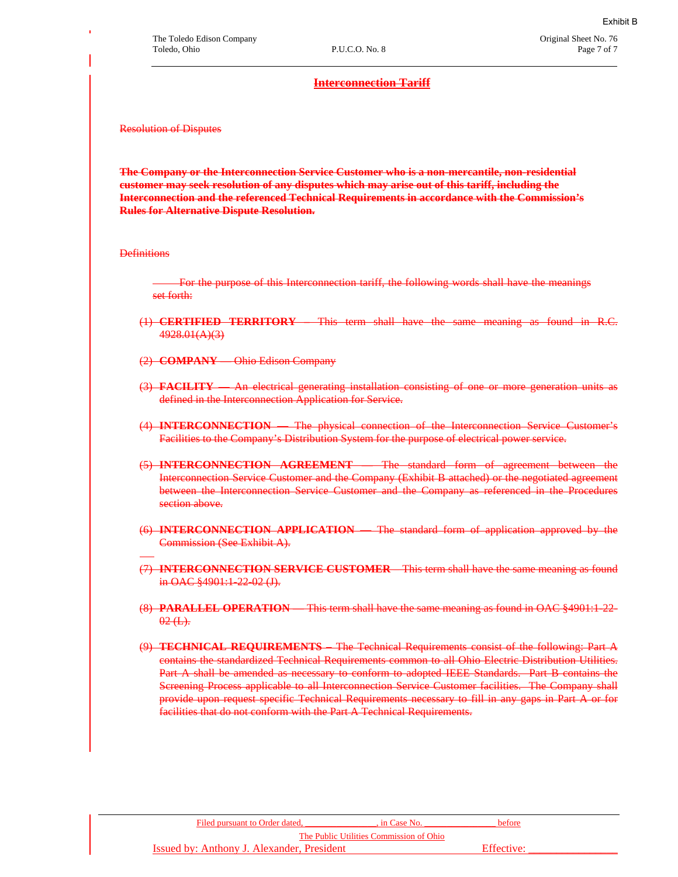### **Interconnection Tariff**

Resolution of Disputes

**The Company or the Interconnection Service Customer who is a non-mercantile, non-residential customer may seek resolution of any disputes which may arise out of this tariff, including the Interconnection and the referenced Technical Requirements in accordance with the Commission's Rules for Alternative Dispute Resolution.** 

**Definitions** 

For the purpose of this Interconnection tariff, the following words shall have the meanings set forth:

- (1) **CERTIFIED TERRITORY –** This term shall have the same meaning as found in R.C. 4928.01(A)(3)
- (2) **COMPANY —** Ohio Edison Company
- (3) **FACILITY**  An electrical generating installation consisting of one or more generation units as defined in the Interconnection Application for Service.
- (4) **INTERCONNECTION —** The physical connection of the Interconnection Service Customer's Facilities to the Company's Distribution System for the purpose of electrical power service.
- (5) **INTERCONNECTION AGREEMENT —** The standard form of agreement between the Interconnection Service Customer and the Company (Exhibit B attached) or the negotiated agreement between the Interconnection Service Customer and the Company as referenced in the Procedures section above.
- (6) **INTERCONNECTION APPLICATION**  The standard form of application approved by the Commission (See Exhibit A).
- (7) **INTERCONNECTION SERVICE CUSTOMER** This term shall have the same meaning as found in OAC §4901:1-22-02 (J).
- (8) **PARALLEL OPERATION —** This term shall have the same meaning as found in OAC §4901:1-22-  $02(L)$ .
- (9) **TECHNICAL REQUIREMENTS –** The Technical Requirements consist of the following: Part A contains the standardized Technical Requirements common to all Ohio Electric Distribution Utilities. Part A shall be amended as necessary to conform to adopted IEEE Standards. Part B contains the Screening Process applicable to all Interconnection Service Customer facilities. The Company shall provide upon request specific Technical Requirements necessary to fill in any gaps in Part A or for facilities that do not conform with the Part A Technical Requirements.

| Filed pursuant to Order dated.             | . in Case No. | <b>before</b> |  |
|--------------------------------------------|---------------|---------------|--|
| The Public Utilities Commission of Ohio    |               |               |  |
| Issued by: Anthony J. Alexander, President |               | Effective:    |  |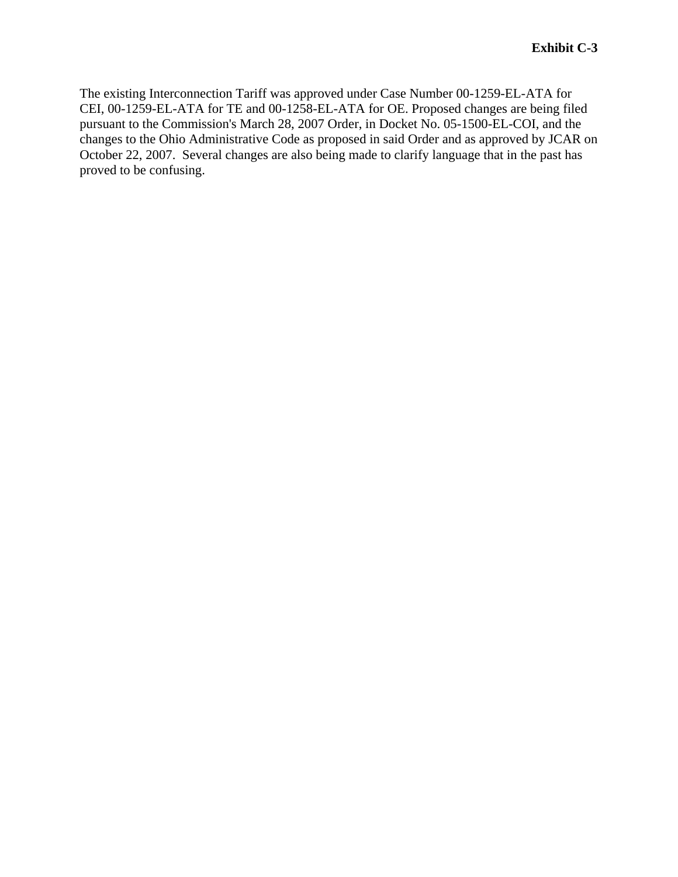The existing Interconnection Tariff was approved under Case Number 00-1259-EL-ATA for CEI, 00-1259-EL-ATA for TE and 00-1258-EL-ATA for OE. Proposed changes are being filed pursuant to the Commission's March 28, 2007 Order, in Docket No. 05-1500-EL-COI, and the changes to the Ohio Administrative Code as proposed in said Order and as approved by JCAR on October 22, 2007. Several changes are also being made to clarify language that in the past has proved to be confusing.